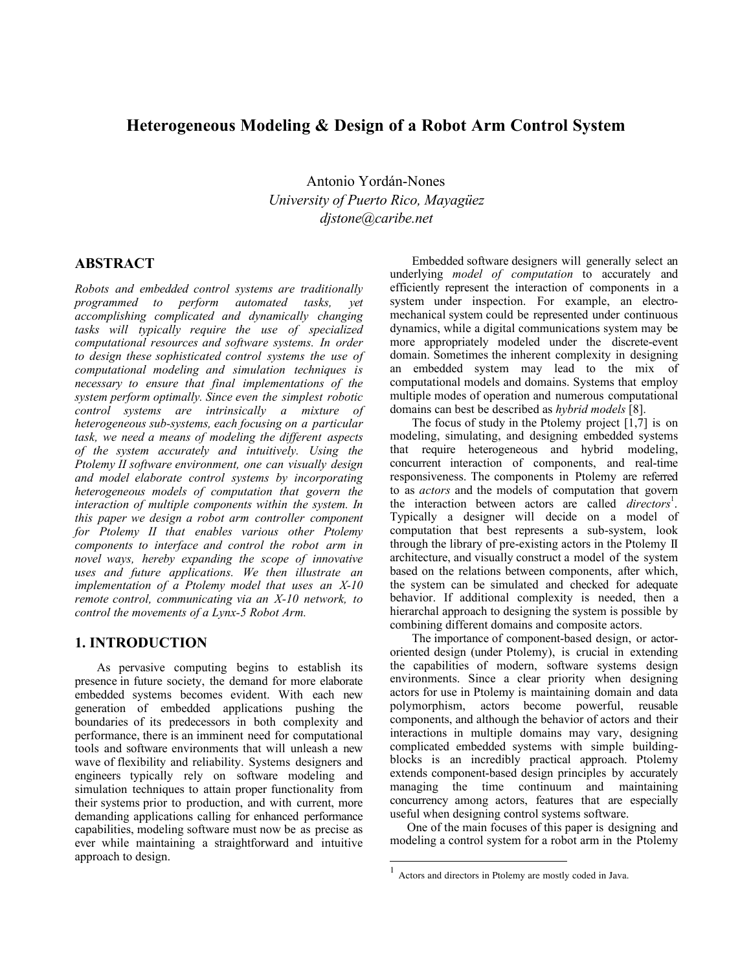## **Heterogeneous Modeling & Design of a Robot Arm Control System**

Antonio Yordán-Nones *University of Puerto Rico, Mayagüez djstone@caribe.net*

## **ABSTRACT**

*Robots and embedded control systems are traditionally programmed to perform automated tasks, yet accomplishing complicated and dynamically changing tasks will typically require the use of specialized computational resources and software systems. In order to design these sophisticated control systems the use of computational modeling and simulation techniques is necessary to ensure that final implementations of the system perform optimally. Since even the simplest robotic control systems are intrinsically a mixture of heterogeneous sub-systems, each focusing on a particular task, we need a means of modeling the different aspects of the system accurately and intuitively. Using the Ptolemy II software environment, one can visually design and model elaborate control systems by incorporating heterogeneous models of computation that govern the interaction of multiple components within the system. In this paper we design a robot arm controller component for Ptolemy II that enables various other Ptolemy components to interface and control the robot arm in novel ways, hereby expanding the scope of innovative uses and future applications. We then illustrate an implementation of a Ptolemy model that uses an X-10 remote control, communicating via an X-10 network, to control the movements of a Lynx-5 Robot Arm.*

#### **1. INTRODUCTION**

As pervasive computing begins to establish its presence in future society, the demand for more elaborate embedded systems becomes evident. With each new generation of embedded applications pushing the boundaries of its predecessors in both complexity and performance, there is an imminent need for computational tools and software environments that will unleash a new wave of flexibility and reliability. Systems designers and engineers typically rely on software modeling and simulation techniques to attain proper functionality from their systems prior to production, and with current, more demanding applications calling for enhanced performance capabilities, modeling software must now be as precise as ever while maintaining a straightforward and intuitive approach to design.

Embedded software designers will generally select an underlying *model of computation* to accurately and efficiently represent the interaction of components in a system under inspection. For example, an electromechanical system could be represented under continuous dynamics, while a digital communications system may be more appropriately modeled under the discrete-event domain. Sometimes the inherent complexity in designing an embedded system may lead to the mix of computational models and domains. Systems that employ multiple modes of operation and numerous computational domains can best be described as *hybrid models* [8].

The focus of study in the Ptolemy project [1,7] is on modeling, simulating, and designing embedded systems that require heterogeneous and hybrid modeling, concurrent interaction of components, and real-time responsiveness. The components in Ptolemy are referred to as *actors* and the models of computation that govern the interaction between actors are called *directors*<sup>1</sup>. Typically a designer will decide on a model of computation that best represents a sub-system, look through the library of pre-existing actors in the Ptolemy II architecture, and visually construct a model of the system based on the relations between components, after which, the system can be simulated and checked for adequate behavior. If additional complexity is needed, then a hierarchal approach to designing the system is possible by combining different domains and composite actors.

The importance of component-based design, or actororiented design (under Ptolemy), is crucial in extending the capabilities of modern, software systems design environments. Since a clear priority when designing actors for use in Ptolemy is maintaining domain and data polymorphism, actors become powerful, reusable components, and although the behavior of actors and their interactions in multiple domains may vary, designing complicated embedded systems with simple buildingblocks is an incredibly practical approach. Ptolemy extends component-based design principles by accurately managing the time continuum and maintaining concurrency among actors, features that are especially useful when designing control systems software.

One of the main focuses of this paper is designing and modeling a control system for a robot arm in the Ptolemy

 $\overline{a}$ 

 $1$  Actors and directors in Ptolemy are mostly coded in Java.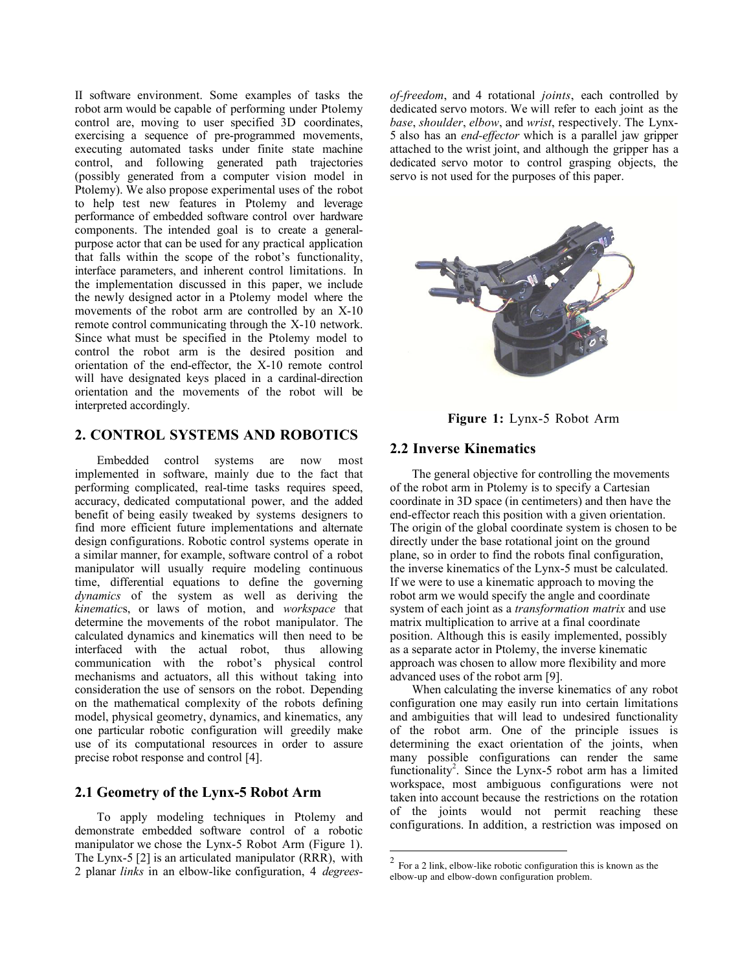II software environment. Some examples of tasks the robot arm would be capable of performing under Ptolemy control are, moving to user specified 3D coordinates, exercising a sequence of pre-programmed movements, executing automated tasks under finite state machine control, and following generated path trajectories (possibly generated from a computer vision model in Ptolemy). We also propose experimental uses of the robot to help test new features in Ptolemy and leverage performance of embedded software control over hardware components. The intended goal is to create a generalpurpose actor that can be used for any practical application that falls within the scope of the robot's functionality, interface parameters, and inherent control limitations. In the implementation discussed in this paper, we include the newly designed actor in a Ptolemy model where the movements of the robot arm are controlled by an X-10 remote control communicating through the X-10 network. Since what must be specified in the Ptolemy model to control the robot arm is the desired position and orientation of the end-effector, the X-10 remote control will have designated keys placed in a cardinal-direction orientation and the movements of the robot will be interpreted accordingly.

## **2. CONTROL SYSTEMS AND ROBOTICS**

Embedded control systems are now most implemented in software, mainly due to the fact that performing complicated, real-time tasks requires speed, accuracy, dedicated computational power, and the added benefit of being easily tweaked by systems designers to find more efficient future implementations and alternate design configurations. Robotic control systems operate in a similar manner, for example, software control of a robot manipulator will usually require modeling continuous time, differential equations to define the governing *dynamics* of the system as well as deriving the *kinematic*s, or laws of motion, and *workspace* that determine the movements of the robot manipulator. The calculated dynamics and kinematics will then need to be interfaced with the actual robot, thus allowing communication with the robot's physical control mechanisms and actuators, all this without taking into consideration the use of sensors on the robot. Depending on the mathematical complexity of the robots defining model, physical geometry, dynamics, and kinematics, any one particular robotic configuration will greedily make use of its computational resources in order to assure precise robot response and control [4].

#### **2.1 Geometry of the Lynx-5 Robot Arm**

To apply modeling techniques in Ptolemy and demonstrate embedded software control of a robotic manipulator we chose the Lynx-5 Robot Arm (Figure 1). The Lynx-5 [2] is an articulated manipulator (RRR), with 2 planar *links* in an elbow-like configuration, 4 *degrees-* *of-freedom*, and 4 rotational *joints*, each controlled by dedicated servo motors. We will refer to each joint as the *base*, *shoulder*, *elbow*, and *wrist*, respectively. The Lynx-5 also has an *end-effector* which is a parallel jaw gripper attached to the wrist joint, and although the gripper has a dedicated servo motor to control grasping objects, the servo is not used for the purposes of this paper.



**Figure 1:** Lynx-5 Robot Arm

### **2.2 Inverse Kinematics**

The general objective for controlling the movements of the robot arm in Ptolemy is to specify a Cartesian coordinate in 3D space (in centimeters) and then have the end-effector reach this position with a given orientation. The origin of the global coordinate system is chosen to be directly under the base rotational joint on the ground plane, so in order to find the robots final configuration, the inverse kinematics of the Lynx-5 must be calculated. If we were to use a kinematic approach to moving the robot arm we would specify the angle and coordinate system of each joint as a *transformation matrix* and use matrix multiplication to arrive at a final coordinate position. Although this is easily implemented, possibly as a separate actor in Ptolemy, the inverse kinematic approach was chosen to allow more flexibility and more advanced uses of the robot arm [9].

When calculating the inverse kinematics of any robot configuration one may easily run into certain limitations and ambiguities that will lead to undesired functionality of the robot arm. One of the principle issues is determining the exact orientation of the joints, when many possible configurations can render the same functionality<sup>2</sup>. Since the Lynx-5 robot arm has a limited workspace, most ambiguous configurations were not taken into account because the restrictions on the rotation of the joints would not permit reaching these configurations. In addition, a restriction was imposed on

 $\overline{a}$ 

 $2^{2}$  For a 2 link, elbow-like robotic configuration this is known as the elbow-up and elbow-down configuration problem.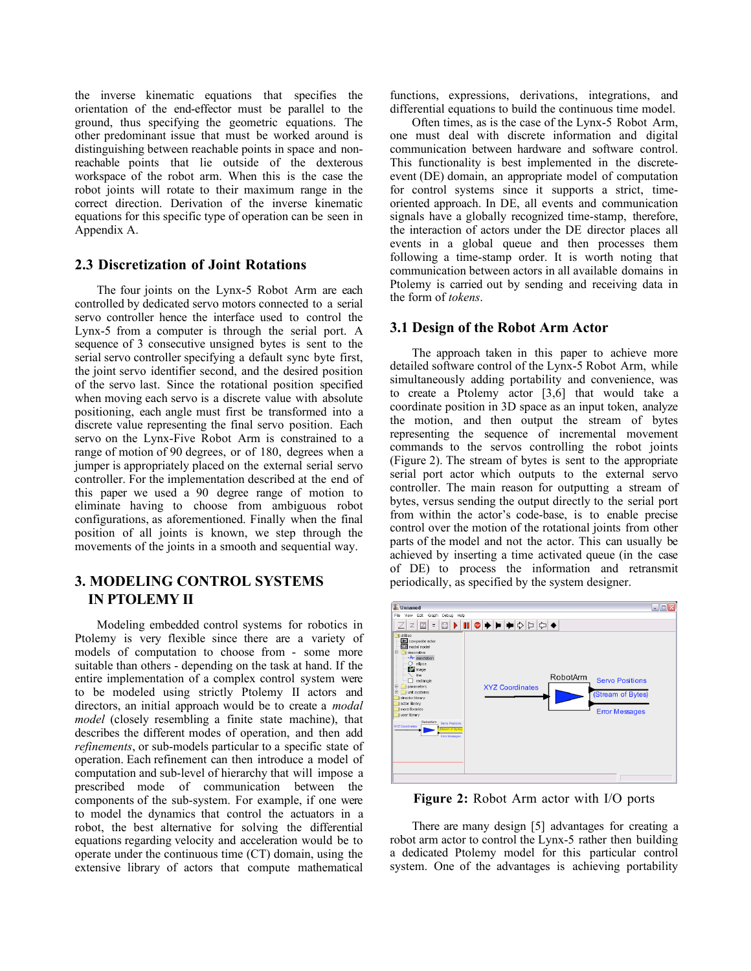the inverse kinematic equations that specifies the orientation of the end-effector must be parallel to the ground, thus specifying the geometric equations. The other predominant issue that must be worked around is distinguishing between reachable points in space and nonreachable points that lie outside of the dexterous workspace of the robot arm. When this is the case the robot joints will rotate to their maximum range in the correct direction. Derivation of the inverse kinematic equations for this specific type of operation can be seen in Appendix A.

## **2.3 Discretization of Joint Rotations**

The four joints on the Lynx-5 Robot Arm are each controlled by dedicated servo motors connected to a serial servo controller hence the interface used to control the Lynx-5 from a computer is through the serial port. A sequence of 3 consecutive unsigned bytes is sent to the serial servo controller specifying a default sync byte first, the joint servo identifier second, and the desired position of the servo last. Since the rotational position specified when moving each servo is a discrete value with absolute positioning, each angle must first be transformed into a discrete value representing the final servo position. Each servo on the Lynx-Five Robot Arm is constrained to a range of motion of 90 degrees, or of 180, degrees when a jumper is appropriately placed on the external serial servo controller. For the implementation described at the end of this paper we used a 90 degree range of motion to eliminate having to choose from ambiguous robot configurations, as aforementioned. Finally when the final position of all joints is known, we step through the movements of the joints in a smooth and sequential way.

## **3. MODELING CONTROL SYSTEMS IN PTOLEMY II**

Modeling embedded control systems for robotics in Ptolemy is very flexible since there are a variety of models of computation to choose from - some more suitable than others - depending on the task at hand. If the entire implementation of a complex control system were to be modeled using strictly Ptolemy II actors and directors, an initial approach would be to create a *modal model* (closely resembling a finite state machine), that describes the different modes of operation, and then add *refinements*, or sub-models particular to a specific state of operation. Each refinement can then introduce a model of computation and sub-level of hierarchy that will impose a prescribed mode of communication between the components of the sub-system. For example, if one were to model the dynamics that control the actuators in a robot, the best alternative for solving the differential equations regarding velocity and acceleration would be to operate under the continuous time (CT) domain, using the extensive library of actors that compute mathematical

functions, expressions, derivations, integrations, and differential equations to build the continuous time model.

Often times, as is the case of the Lynx-5 Robot Arm, one must deal with discrete information and digital communication between hardware and software control. This functionality is best implemented in the discreteevent (DE) domain, an appropriate model of computation for control systems since it supports a strict, timeoriented approach. In DE, all events and communication signals have a globally recognized time-stamp, therefore, the interaction of actors under the DE director places all events in a global queue and then processes them following a time-stamp order. It is worth noting that communication between actors in all available domains in Ptolemy is carried out by sending and receiving data in the form of *tokens*.

#### **3.1 Design of the Robot Arm Actor**

The approach taken in this paper to achieve more detailed software control of the Lynx-5 Robot Arm, while simultaneously adding portability and convenience, was to create a Ptolemy actor [3,6] that would take a coordinate position in 3D space as an input token, analyze the motion, and then output the stream of bytes representing the sequence of incremental movement commands to the servos controlling the robot joints (Figure 2). The stream of bytes is sent to the appropriate serial port actor which outputs to the external servo controller. The main reason for outputting a stream of bytes, versus sending the output directly to the serial port from within the actor's code-base, is to enable precise control over the motion of the rotational joints from other parts of the model and not the actor. This can usually be achieved by inserting a time activated queue (in the case of DE) to process the information and retransmit periodically, as specified by the system designer.



**Figure 2:** Robot Arm actor with I/O ports

There are many design [5] advantages for creating a robot arm actor to control the Lynx-5 rather then building a dedicated Ptolemy model for this particular control system. One of the advantages is achieving portability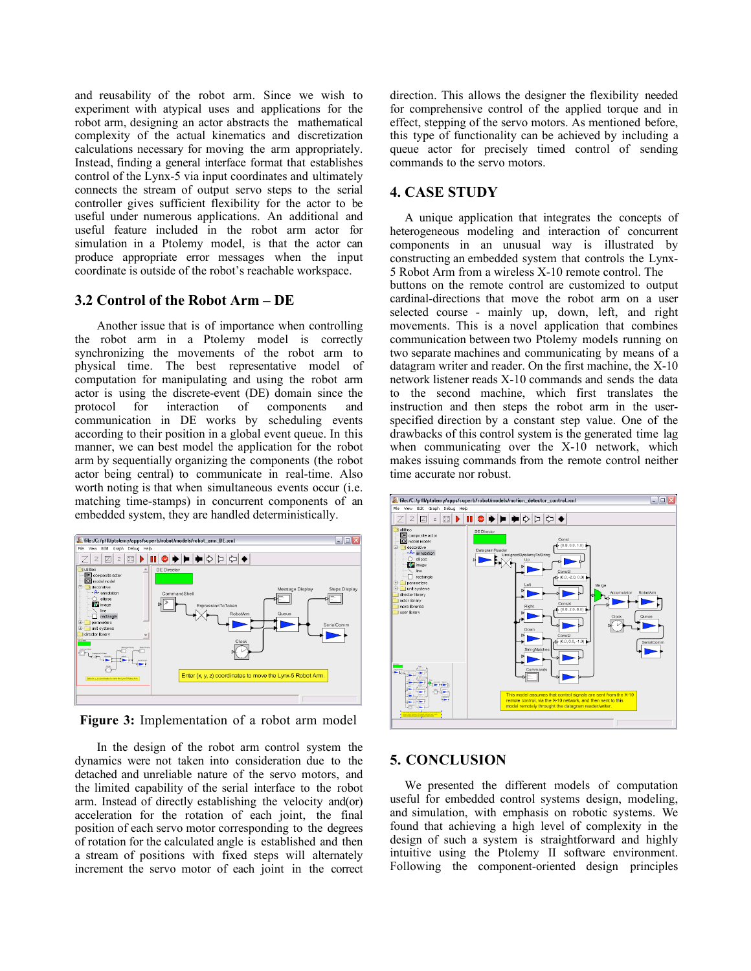and reusability of the robot arm. Since we wish to experiment with atypical uses and applications for the robot arm, designing an actor abstracts the mathematical complexity of the actual kinematics and discretization calculations necessary for moving the arm appropriately. Instead, finding a general interface format that establishes control of the Lynx-5 via input coordinates and ultimately connects the stream of output servo steps to the serial controller gives sufficient flexibility for the actor to be useful under numerous applications. An additional and useful feature included in the robot arm actor for simulation in a Ptolemy model, is that the actor can produce appropriate error messages when the input coordinate is outside of the robot's reachable workspace.

#### **3.2 Control of the Robot Arm – DE**

Another issue that is of importance when controlling the robot arm in a Ptolemy model is correctly synchronizing the movements of the robot arm to physical time. The best representative model of computation for manipulating and using the robot arm actor is using the discrete-event (DE) domain since the protocol for interaction of components and communication in DE works by scheduling events according to their position in a global event queue. In this manner, we can best model the application for the robot arm by sequentially organizing the components (the robot actor being central) to communicate in real-time. Also worth noting is that when simultaneous events occur (i.e. matching time-stamps) in concurrent components of an embedded system, they are handled deterministically.



**Figure 3:** Implementation of a robot arm model

In the design of the robot arm control system the dynamics were not taken into consideration due to the detached and unreliable nature of the servo motors, and the limited capability of the serial interface to the robot arm. Instead of directly establishing the velocity and(or) acceleration for the rotation of each joint, the final position of each servo motor corresponding to the degrees of rotation for the calculated angle is established and then a stream of positions with fixed steps will alternately increment the servo motor of each joint in the correct direction. This allows the designer the flexibility needed for comprehensive control of the applied torque and in effect, stepping of the servo motors. As mentioned before, this type of functionality can be achieved by including a queue actor for precisely timed control of sending commands to the servo motors.

#### **4. CASE STUDY**

A unique application that integrates the concepts of heterogeneous modeling and interaction of concurrent components in an unusual way is illustrated by constructing an embedded system that controls the Lynx-5 Robot Arm from a wireless X-10 remote control. The buttons on the remote control are customized to output cardinal-directions that move the robot arm on a user selected course - mainly up, down, left, and right movements. This is a novel application that combines communication between two Ptolemy models running on two separate machines and communicating by means of a datagram writer and reader. On the first machine, the X-10 network listener reads X-10 commands and sends the data to the second machine, which first translates the instruction and then steps the robot arm in the userspecified direction by a constant step value. One of the drawbacks of this control system is the generated time lag when communicating over the X-10 network, which makes issuing commands from the remote control neither time accurate nor robust.



#### **5. CONCLUSION**

We presented the different models of computation useful for embedded control systems design, modeling, and simulation, with emphasis on robotic systems. We found that achieving a high level of complexity in the design of such a system is straightforward and highly intuitive using the Ptolemy II software environment. Following the component-oriented design principles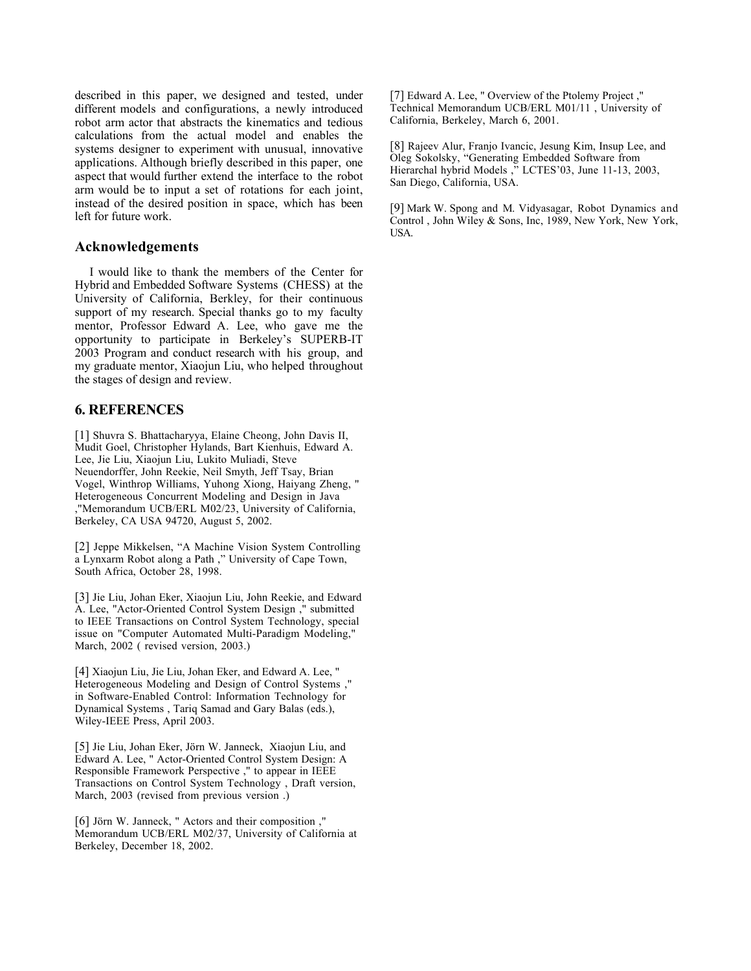described in this paper, we designed and tested, under different models and configurations, a newly introduced robot arm actor that abstracts the kinematics and tedious calculations from the actual model and enables the systems designer to experiment with unusual, innovative applications. Although briefly described in this paper, one aspect that would further extend the interface to the robot arm would be to input a set of rotations for each joint, instead of the desired position in space, which has been left for future work.

#### **Acknowledgements**

I would like to thank the members of the Center for Hybrid and Embedded Software Systems (CHESS) at the University of California, Berkley, for their continuous support of my research. Special thanks go to my faculty mentor, Professor Edward A. Lee, who gave me the opportunity to participate in Berkeley's SUPERB-IT 2003 Program and conduct research with his group, and my graduate mentor, Xiaojun Liu, who helped throughout the stages of design and review.

## **6. REFERENCES**

[1] Shuvra S. Bhattacharyya, Elaine Cheong, John Davis II, Mudit Goel, Christopher Hylands, Bart Kienhuis, Edward A. Lee, Jie Liu, Xiaojun Liu, Lukito Muliadi, Steve Neuendorffer, John Reekie, Neil Smyth, Jeff Tsay, Brian Vogel, Winthrop Williams, Yuhong Xiong, Haiyang Zheng, " Heterogeneous Concurrent Modeling and Design in Java ,"Memorandum UCB/ERL M02/23, University of California, Berkeley, CA USA 94720, August 5, 2002.

[2] Jeppe Mikkelsen, "A Machine Vision System Controlling a Lynxarm Robot along a Path ," University of Cape Town, South Africa, October 28, 1998.

[3] Jie Liu, Johan Eker, Xiaojun Liu, John Reekie, and Edward A. Lee, "Actor-Oriented Control System Design ," submitted to IEEE Transactions on Control System Technology, special issue on "Computer Automated Multi-Paradigm Modeling," March, 2002 ( revised version, 2003.)

[4] Xiaojun Liu, Jie Liu, Johan Eker, and Edward A. Lee, " Heterogeneous Modeling and Design of Control Systems ," in Software-Enabled Control: Information Technology for Dynamical Systems , Tariq Samad and Gary Balas (eds.), Wiley-IEEE Press, April 2003.

[5] Jie Liu, Johan Eker, Jörn W. Janneck, Xiaojun Liu, and Edward A. Lee, " Actor-Oriented Control System Design: A Responsible Framework Perspective ," to appear in IEEE Transactions on Control System Technology , Draft version, March, 2003 (revised from previous version .)

[6] Jörn W. Janneck, " Actors and their composition ," Memorandum UCB/ERL M02/37, University of California at Berkeley, December 18, 2002.

[7] Edward A. Lee, " Overview of the Ptolemy Project ," Technical Memorandum UCB/ERL M01/11 , University of California, Berkeley, March 6, 2001.

[8] Rajeev Alur, Franjo Ivancic, Jesung Kim, Insup Lee, and Oleg Sokolsky, "Generating Embedded Software from Hierarchal hybrid Models ," LCTES'03, June 11-13, 2003, San Diego, California, USA.

[9] Mark W. Spong and M. Vidyasagar, Robot Dynamics and Control , John Wiley & Sons, Inc, 1989, New York, New York, USA.